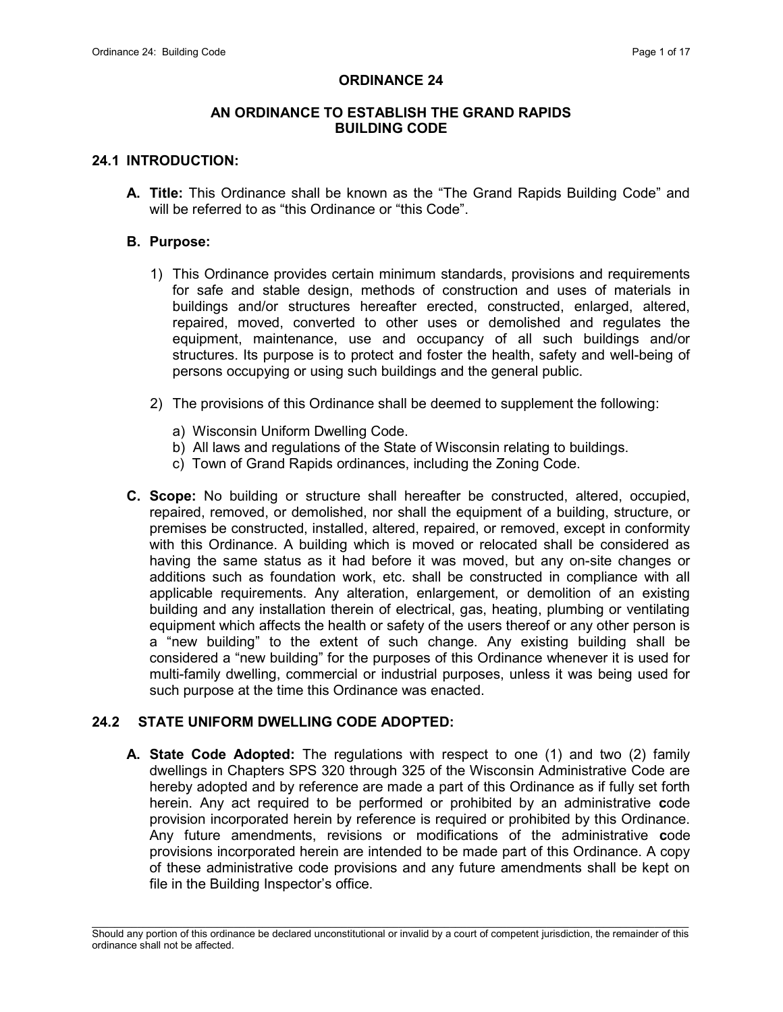## ORDINANCE 24

## AN ORDINANCE TO ESTABLISH THE GRAND RAPIDS BUILDING CODE

#### 24.1 INTRODUCTION:

A. Title: This Ordinance shall be known as the "The Grand Rapids Building Code" and will be referred to as "this Ordinance or "this Code".

#### B. Purpose:

- 1) This Ordinance provides certain minimum standards, provisions and requirements for safe and stable design, methods of construction and uses of materials in buildings and/or structures hereafter erected, constructed, enlarged, altered, repaired, moved, converted to other uses or demolished and regulates the equipment, maintenance, use and occupancy of all such buildings and/or structures. Its purpose is to protect and foster the health, safety and well-being of persons occupying or using such buildings and the general public.
- 2) The provisions of this Ordinance shall be deemed to supplement the following:
	- a) Wisconsin Uniform Dwelling Code.
	- b) All laws and regulations of the State of Wisconsin relating to buildings.
	- c) Town of Grand Rapids ordinances, including the Zoning Code.
- C. Scope: No building or structure shall hereafter be constructed, altered, occupied, repaired, removed, or demolished, nor shall the equipment of a building, structure, or premises be constructed, installed, altered, repaired, or removed, except in conformity with this Ordinance. A building which is moved or relocated shall be considered as having the same status as it had before it was moved, but any on-site changes or additions such as foundation work, etc. shall be constructed in compliance with all applicable requirements. Any alteration, enlargement, or demolition of an existing building and any installation therein of electrical, gas, heating, plumbing or ventilating equipment which affects the health or safety of the users thereof or any other person is a "new building" to the extent of such change. Any existing building shall be considered a "new building" for the purposes of this Ordinance whenever it is used for multi-family dwelling, commercial or industrial purposes, unless it was being used for such purpose at the time this Ordinance was enacted.

# 24.2 STATE UNIFORM DWELLING CODE ADOPTED:

A. State Code Adopted: The regulations with respect to one (1) and two (2) family dwellings in Chapters SPS 320 through 325 of the Wisconsin Administrative Code are hereby adopted and by reference are made a part of this Ordinance as if fully set forth herein. Any act required to be performed or prohibited by an administrative code provision incorporated herein by reference is required or prohibited by this Ordinance. Any future amendments, revisions or modifications of the administrative code provisions incorporated herein are intended to be made part of this Ordinance. A copy of these administrative code provisions and any future amendments shall be kept on file in the Building Inspector's office.

 $\mathcal{L}_\text{max}$ Should any portion of this ordinance be declared unconstitutional or invalid by a court of competent jurisdiction, the remainder of this ordinance shall not be affected.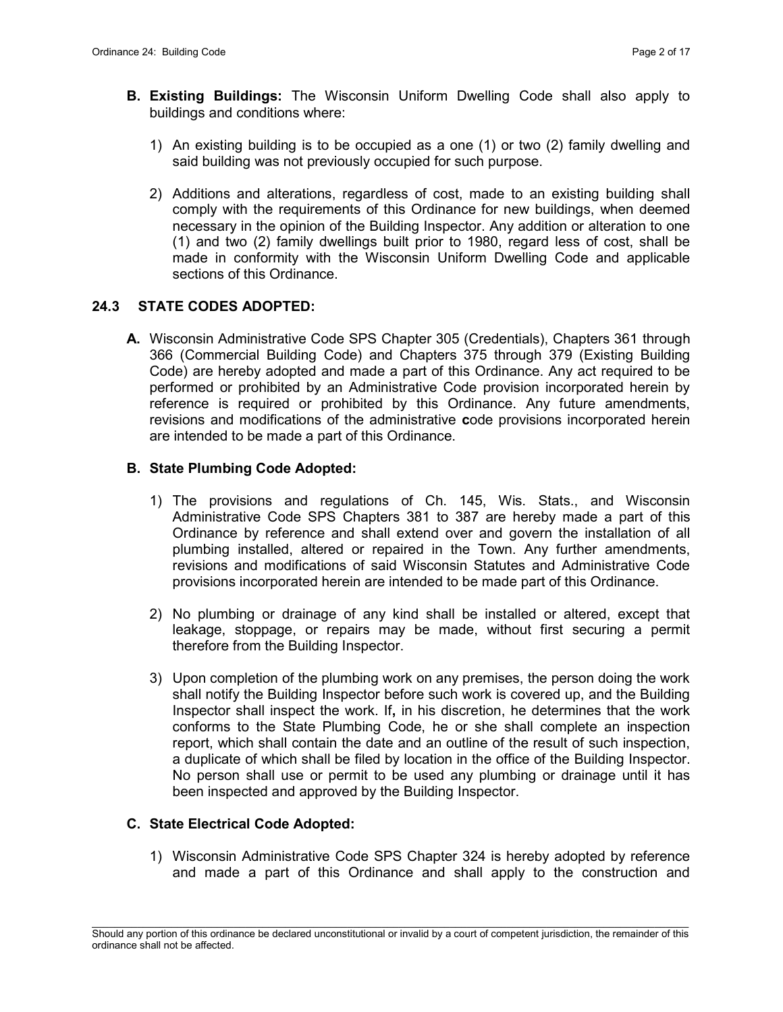- B. Existing Buildings: The Wisconsin Uniform Dwelling Code shall also apply to buildings and conditions where:
	- 1) An existing building is to be occupied as a one (1) or two (2) family dwelling and said building was not previously occupied for such purpose.
	- 2) Additions and alterations, regardless of cost, made to an existing building shall comply with the requirements of this Ordinance for new buildings, when deemed necessary in the opinion of the Building Inspector. Any addition or alteration to one (1) and two (2) family dwellings built prior to 1980, regard less of cost, shall be made in conformity with the Wisconsin Uniform Dwelling Code and applicable sections of this Ordinance.

## 24.3 STATE CODES ADOPTED:

A. Wisconsin Administrative Code SPS Chapter 305 (Credentials), Chapters 361 through 366 (Commercial Building Code) and Chapters 375 through 379 (Existing Building Code) are hereby adopted and made a part of this Ordinance. Any act required to be performed or prohibited by an Administrative Code provision incorporated herein by reference is required or prohibited by this Ordinance. Any future amendments, revisions and modifications of the administrative code provisions incorporated herein are intended to be made a part of this Ordinance.

## B. State Plumbing Code Adopted:

- 1) The provisions and regulations of Ch. 145, Wis. Stats., and Wisconsin Administrative Code SPS Chapters 381 to 387 are hereby made a part of this Ordinance by reference and shall extend over and govern the installation of all plumbing installed, altered or repaired in the Town. Any further amendments, revisions and modifications of said Wisconsin Statutes and Administrative Code provisions incorporated herein are intended to be made part of this Ordinance.
- 2) No plumbing or drainage of any kind shall be installed or altered, except that leakage, stoppage, or repairs may be made, without first securing a permit therefore from the Building Inspector.
- 3) Upon completion of the plumbing work on any premises, the person doing the work shall notify the Building Inspector before such work is covered up, and the Building Inspector shall inspect the work. If, in his discretion, he determines that the work conforms to the State Plumbing Code, he or she shall complete an inspection report, which shall contain the date and an outline of the result of such inspection, a duplicate of which shall be filed by location in the office of the Building Inspector. No person shall use or permit to be used any plumbing or drainage until it has been inspected and approved by the Building Inspector.

#### C. State Electrical Code Adopted:

1) Wisconsin Administrative Code SPS Chapter 324 is hereby adopted by reference and made a part of this Ordinance and shall apply to the construction and

 $\mathcal{L}_\text{max}$ Should any portion of this ordinance be declared unconstitutional or invalid by a court of competent jurisdiction, the remainder of this ordinance shall not be affected.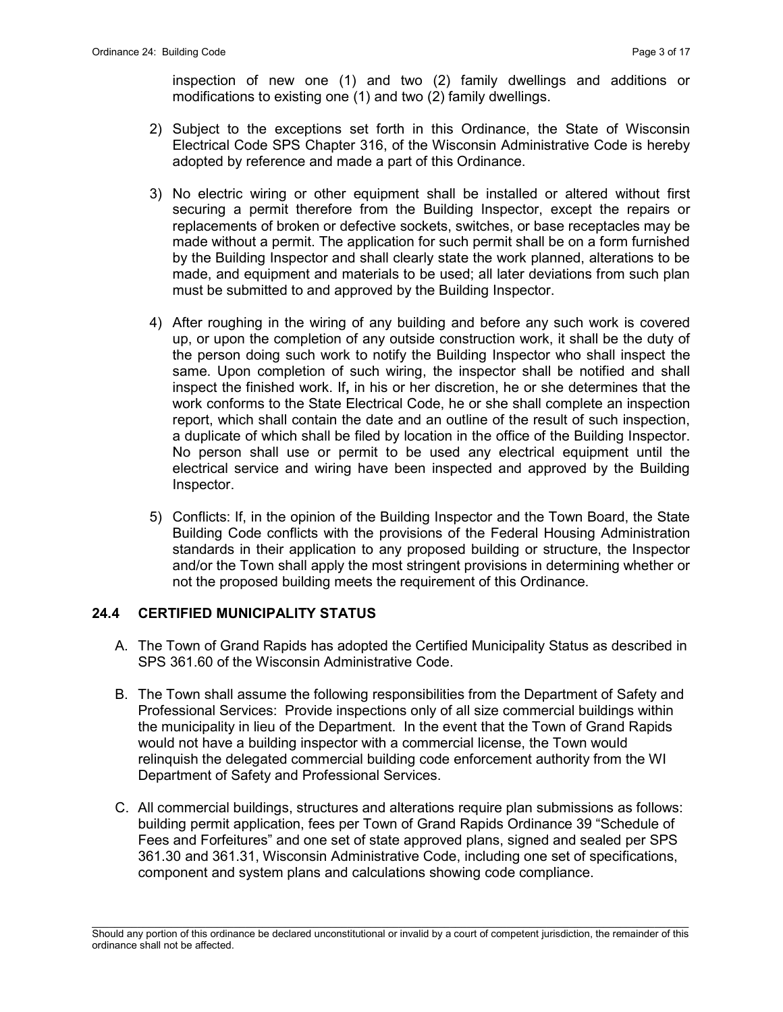inspection of new one (1) and two (2) family dwellings and additions or modifications to existing one (1) and two (2) family dwellings.

- 2) Subject to the exceptions set forth in this Ordinance, the State of Wisconsin Electrical Code SPS Chapter 316, of the Wisconsin Administrative Code is hereby adopted by reference and made a part of this Ordinance.
- 3) No electric wiring or other equipment shall be installed or altered without first securing a permit therefore from the Building Inspector, except the repairs or replacements of broken or defective sockets, switches, or base receptacles may be made without a permit. The application for such permit shall be on a form furnished by the Building Inspector and shall clearly state the work planned, alterations to be made, and equipment and materials to be used; all later deviations from such plan must be submitted to and approved by the Building Inspector.
- 4) After roughing in the wiring of any building and before any such work is covered up, or upon the completion of any outside construction work, it shall be the duty of the person doing such work to notify the Building Inspector who shall inspect the same. Upon completion of such wiring, the inspector shall be notified and shall inspect the finished work. If, in his or her discretion, he or she determines that the work conforms to the State Electrical Code, he or she shall complete an inspection report, which shall contain the date and an outline of the result of such inspection, a duplicate of which shall be filed by location in the office of the Building Inspector. No person shall use or permit to be used any electrical equipment until the electrical service and wiring have been inspected and approved by the Building Inspector.
- 5) Conflicts: If, in the opinion of the Building Inspector and the Town Board, the State Building Code conflicts with the provisions of the Federal Housing Administration standards in their application to any proposed building or structure, the Inspector and/or the Town shall apply the most stringent provisions in determining whether or not the proposed building meets the requirement of this Ordinance.

#### 24.4 CERTIFIED MUNICIPALITY STATUS

- A. The Town of Grand Rapids has adopted the Certified Municipality Status as described in SPS 361.60 of the Wisconsin Administrative Code.
- B. The Town shall assume the following responsibilities from the Department of Safety and Professional Services: Provide inspections only of all size commercial buildings within the municipality in lieu of the Department. In the event that the Town of Grand Rapids would not have a building inspector with a commercial license, the Town would relinquish the delegated commercial building code enforcement authority from the WI Department of Safety and Professional Services.
- C. All commercial buildings, structures and alterations require plan submissions as follows: building permit application, fees per Town of Grand Rapids Ordinance 39 "Schedule of Fees and Forfeitures" and one set of state approved plans, signed and sealed per SPS 361.30 and 361.31, Wisconsin Administrative Code, including one set of specifications, component and system plans and calculations showing code compliance.

 $\mathcal{L}_\text{max}$ Should any portion of this ordinance be declared unconstitutional or invalid by a court of competent jurisdiction, the remainder of this ordinance shall not be affected.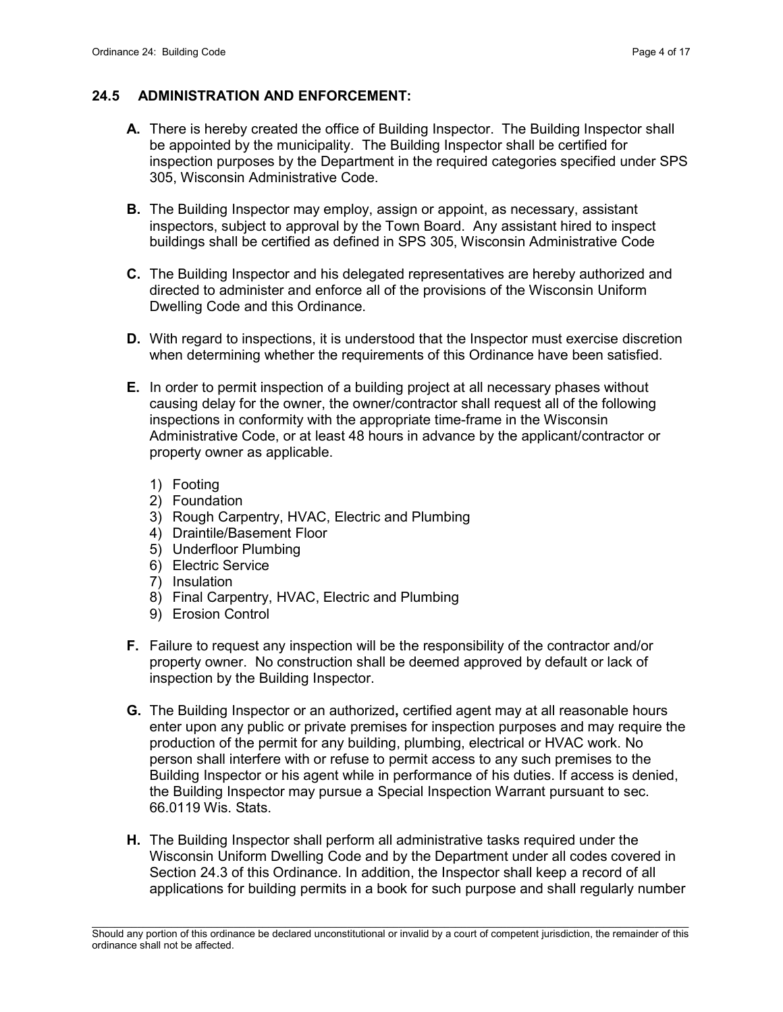## 24.5 ADMINISTRATION AND ENFORCEMENT:

- A. There is hereby created the office of Building Inspector. The Building Inspector shall be appointed by the municipality. The Building Inspector shall be certified for inspection purposes by the Department in the required categories specified under SPS 305, Wisconsin Administrative Code.
- **B.** The Building Inspector may employ, assign or appoint, as necessary, assistant inspectors, subject to approval by the Town Board. Any assistant hired to inspect buildings shall be certified as defined in SPS 305, Wisconsin Administrative Code
- C. The Building Inspector and his delegated representatives are hereby authorized and directed to administer and enforce all of the provisions of the Wisconsin Uniform Dwelling Code and this Ordinance.
- D. With regard to inspections, it is understood that the Inspector must exercise discretion when determining whether the requirements of this Ordinance have been satisfied.
- E. In order to permit inspection of a building project at all necessary phases without causing delay for the owner, the owner/contractor shall request all of the following inspections in conformity with the appropriate time-frame in the Wisconsin Administrative Code, or at least 48 hours in advance by the applicant/contractor or property owner as applicable.
	- 1) Footing
	- 2) Foundation
	- 3) Rough Carpentry, HVAC, Electric and Plumbing
	- 4) Draintile/Basement Floor
	- 5) Underfloor Plumbing
	- 6) Electric Service
	- 7) Insulation
	- 8) Final Carpentry, HVAC, Electric and Plumbing
	- 9) Erosion Control
- F. Failure to request any inspection will be the responsibility of the contractor and/or property owner. No construction shall be deemed approved by default or lack of inspection by the Building Inspector.
- G. The Building Inspector or an authorized, certified agent may at all reasonable hours enter upon any public or private premises for inspection purposes and may require the production of the permit for any building, plumbing, electrical or HVAC work. No person shall interfere with or refuse to permit access to any such premises to the Building Inspector or his agent while in performance of his duties. If access is denied, the Building Inspector may pursue a Special Inspection Warrant pursuant to sec. 66.0119 Wis. Stats.
- H. The Building Inspector shall perform all administrative tasks required under the Wisconsin Uniform Dwelling Code and by the Department under all codes covered in Section 24.3 of this Ordinance. In addition, the Inspector shall keep a record of all applications for building permits in a book for such purpose and shall regularly number

 $\mathcal{L}_\text{max}$ Should any portion of this ordinance be declared unconstitutional or invalid by a court of competent jurisdiction, the remainder of this ordinance shall not be affected.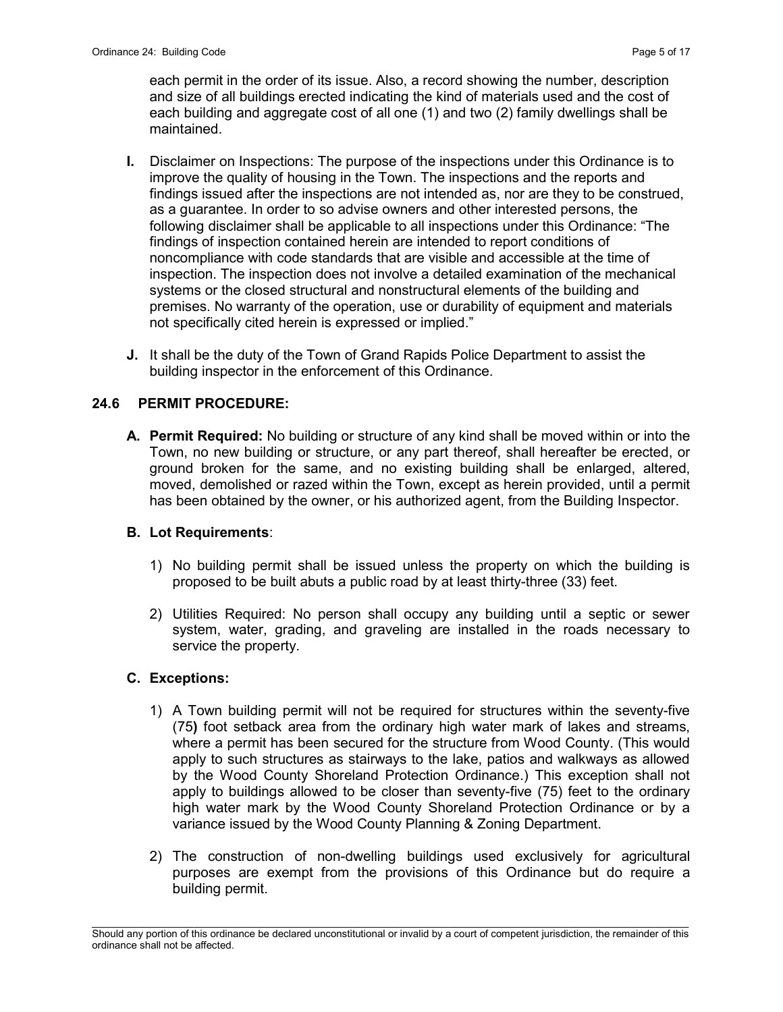each permit in the order of its issue. Also, a record showing the number, description and size of all buildings erected indicating the kind of materials used and the cost of each building and aggregate cost of all one (1) and two (2) family dwellings shall be maintained.

- I. Disclaimer on Inspections: The purpose of the inspections under this Ordinance is to improve the quality of housing in the Town. The inspections and the reports and findings issued after the inspections are not intended as, nor are they to be construed, as a guarantee. In order to so advise owners and other interested persons, the following disclaimer shall be applicable to all inspections under this Ordinance: "The findings of inspection contained herein are intended to report conditions of noncompliance with code standards that are visible and accessible at the time of inspection. The inspection does not involve a detailed examination of the mechanical systems or the closed structural and nonstructural elements of the building and premises. No warranty of the operation, use or durability of equipment and materials not specifically cited herein is expressed or implied."
- J. It shall be the duty of the Town of Grand Rapids Police Department to assist the building inspector in the enforcement of this Ordinance.

# 24.6 PERMIT PROCEDURE:

A. Permit Required: No building or structure of any kind shall be moved within or into the Town, no new building or structure, or any part thereof, shall hereafter be erected, or ground broken for the same, and no existing building shall be enlarged, altered, moved, demolished or razed within the Town, except as herein provided, until a permit has been obtained by the owner, or his authorized agent, from the Building Inspector.

# B. Lot Requirements:

- 1) No building permit shall be issued unless the property on which the building is proposed to be built abuts a public road by at least thirty-three (33) feet.
- 2) Utilities Required: No person shall occupy any building until a septic or sewer system, water, grading, and graveling are installed in the roads necessary to service the property.

#### C. Exceptions:

- 1) A Town building permit will not be required for structures within the seventy-five (75) foot setback area from the ordinary high water mark of lakes and streams, where a permit has been secured for the structure from Wood County. (This would apply to such structures as stairways to the lake, patios and walkways as allowed by the Wood County Shoreland Protection Ordinance.) This exception shall not apply to buildings allowed to be closer than seventy-five (75) feet to the ordinary high water mark by the Wood County Shoreland Protection Ordinance or by a variance issued by the Wood County Planning & Zoning Department.
- 2) The construction of non-dwelling buildings used exclusively for agricultural purposes are exempt from the provisions of this Ordinance but do require a building permit.

 $\mathcal{L}_\text{max}$ Should any portion of this ordinance be declared unconstitutional or invalid by a court of competent jurisdiction, the remainder of this ordinance shall not be affected.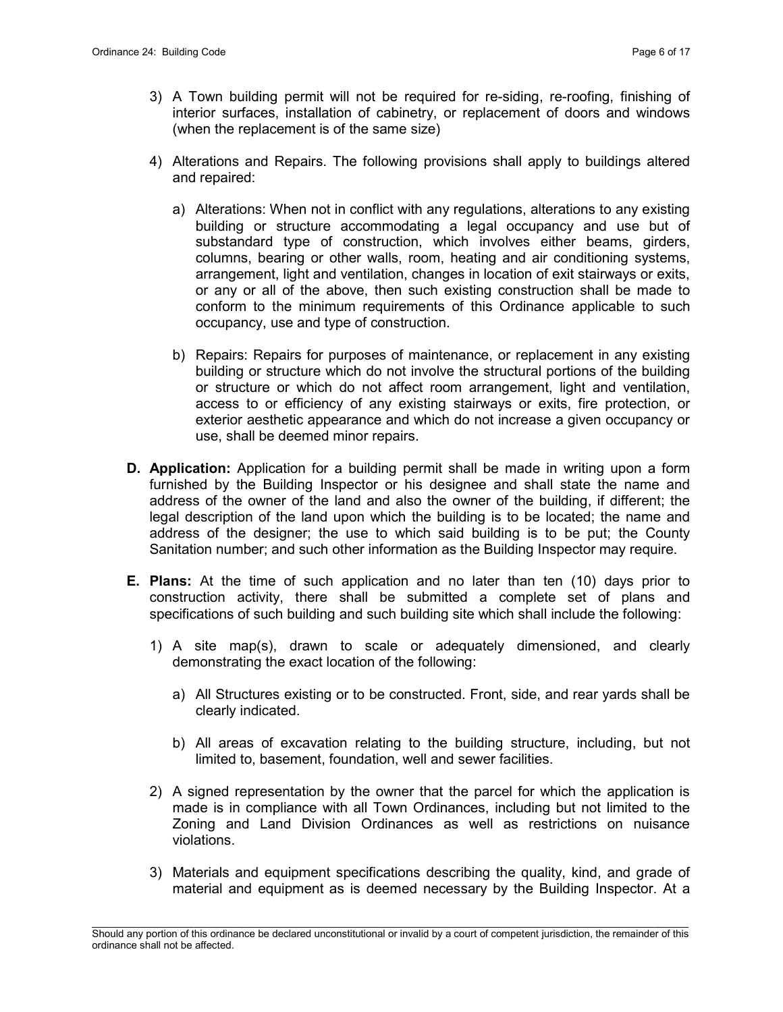- 3) A Town building permit will not be required for re-siding, re-roofing, finishing of interior surfaces, installation of cabinetry, or replacement of doors and windows (when the replacement is of the same size)
- 4) Alterations and Repairs. The following provisions shall apply to buildings altered and repaired:
	- a) Alterations: When not in conflict with any regulations, alterations to any existing building or structure accommodating a legal occupancy and use but of substandard type of construction, which involves either beams, girders, columns, bearing or other walls, room, heating and air conditioning systems, arrangement, light and ventilation, changes in location of exit stairways or exits, or any or all of the above, then such existing construction shall be made to conform to the minimum requirements of this Ordinance applicable to such occupancy, use and type of construction.
	- b) Repairs: Repairs for purposes of maintenance, or replacement in any existing building or structure which do not involve the structural portions of the building or structure or which do not affect room arrangement, light and ventilation, access to or efficiency of any existing stairways or exits, fire protection, or exterior aesthetic appearance and which do not increase a given occupancy or use, shall be deemed minor repairs.
- **D. Application:** Application for a building permit shall be made in writing upon a form furnished by the Building Inspector or his designee and shall state the name and address of the owner of the land and also the owner of the building, if different; the legal description of the land upon which the building is to be located; the name and address of the designer; the use to which said building is to be put; the County Sanitation number; and such other information as the Building Inspector may require.
- E. Plans: At the time of such application and no later than ten (10) days prior to construction activity, there shall be submitted a complete set of plans and specifications of such building and such building site which shall include the following:
	- 1) A site map(s), drawn to scale or adequately dimensioned, and clearly demonstrating the exact location of the following:
		- a) All Structures existing or to be constructed. Front, side, and rear yards shall be clearly indicated.
		- b) All areas of excavation relating to the building structure, including, but not limited to, basement, foundation, well and sewer facilities.
	- 2) A signed representation by the owner that the parcel for which the application is made is in compliance with all Town Ordinances, including but not limited to the Zoning and Land Division Ordinances as well as restrictions on nuisance violations.
	- 3) Materials and equipment specifications describing the quality, kind, and grade of material and equipment as is deemed necessary by the Building Inspector. At a

 $\mathcal{L}_\text{max}$ Should any portion of this ordinance be declared unconstitutional or invalid by a court of competent jurisdiction, the remainder of this ordinance shall not be affected.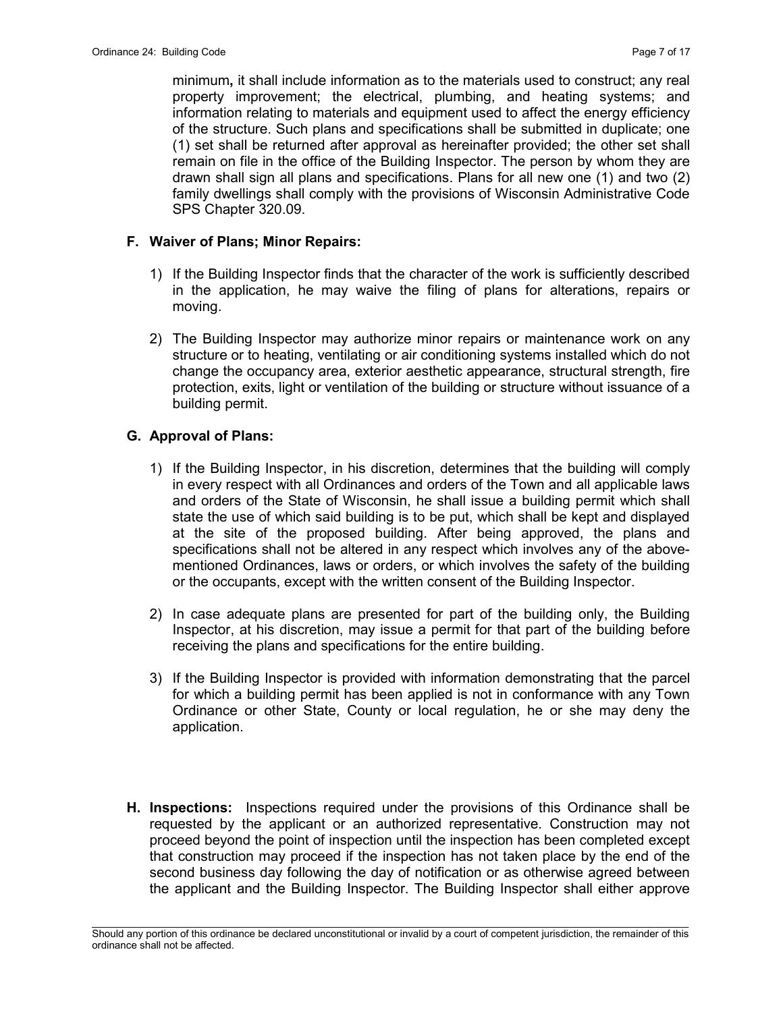minimum, it shall include information as to the materials used to construct; any real property improvement; the electrical, plumbing, and heating systems; and information relating to materials and equipment used to affect the energy efficiency of the structure. Such plans and specifications shall be submitted in duplicate; one (1) set shall be returned after approval as hereinafter provided; the other set shall remain on file in the office of the Building Inspector. The person by whom they are drawn shall sign all plans and specifications. Plans for all new one (1) and two (2) family dwellings shall comply with the provisions of Wisconsin Administrative Code SPS Chapter 320.09.

## F. Waiver of Plans; Minor Repairs:

- 1) If the Building Inspector finds that the character of the work is sufficiently described in the application, he may waive the filing of plans for alterations, repairs or moving.
- 2) The Building Inspector may authorize minor repairs or maintenance work on any structure or to heating, ventilating or air conditioning systems installed which do not change the occupancy area, exterior aesthetic appearance, structural strength, fire protection, exits, light or ventilation of the building or structure without issuance of a building permit.

## G. Approval of Plans:

- 1) If the Building Inspector, in his discretion, determines that the building will comply in every respect with all Ordinances and orders of the Town and all applicable laws and orders of the State of Wisconsin, he shall issue a building permit which shall state the use of which said building is to be put, which shall be kept and displayed at the site of the proposed building. After being approved, the plans and specifications shall not be altered in any respect which involves any of the abovementioned Ordinances, laws or orders, or which involves the safety of the building or the occupants, except with the written consent of the Building Inspector.
- 2) In case adequate plans are presented for part of the building only, the Building Inspector, at his discretion, may issue a permit for that part of the building before receiving the plans and specifications for the entire building.
- 3) If the Building Inspector is provided with information demonstrating that the parcel for which a building permit has been applied is not in conformance with any Town Ordinance or other State, County or local regulation, he or she may deny the application.
- H. Inspections: Inspections required under the provisions of this Ordinance shall be requested by the applicant or an authorized representative. Construction may not proceed beyond the point of inspection until the inspection has been completed except that construction may proceed if the inspection has not taken place by the end of the second business day following the day of notification or as otherwise agreed between the applicant and the Building Inspector. The Building Inspector shall either approve

 $\mathcal{L}_\text{max}$ Should any portion of this ordinance be declared unconstitutional or invalid by a court of competent jurisdiction, the remainder of this ordinance shall not be affected.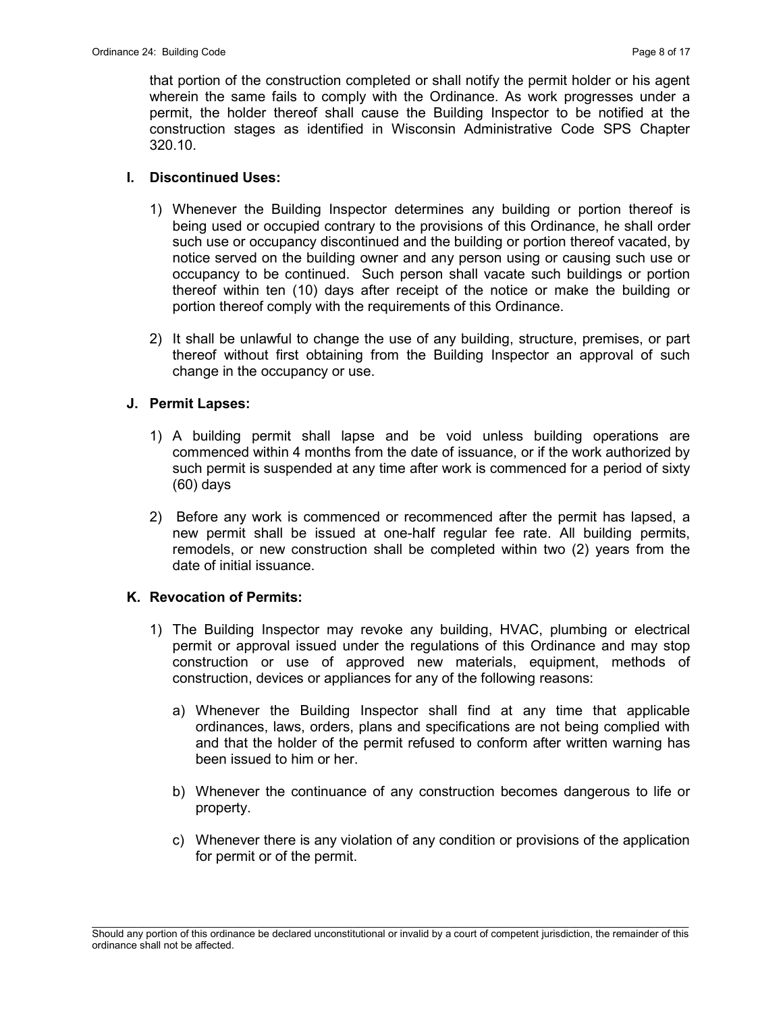that portion of the construction completed or shall notify the permit holder or his agent wherein the same fails to comply with the Ordinance. As work progresses under a permit, the holder thereof shall cause the Building Inspector to be notified at the construction stages as identified in Wisconsin Administrative Code SPS Chapter 320.10.

#### I. Discontinued Uses:

- 1) Whenever the Building Inspector determines any building or portion thereof is being used or occupied contrary to the provisions of this Ordinance, he shall order such use or occupancy discontinued and the building or portion thereof vacated, by notice served on the building owner and any person using or causing such use or occupancy to be continued. Such person shall vacate such buildings or portion thereof within ten (10) days after receipt of the notice or make the building or portion thereof comply with the requirements of this Ordinance.
- 2) It shall be unlawful to change the use of any building, structure, premises, or part thereof without first obtaining from the Building Inspector an approval of such change in the occupancy or use.

## J. Permit Lapses:

- 1) A building permit shall lapse and be void unless building operations are commenced within 4 months from the date of issuance, or if the work authorized by such permit is suspended at any time after work is commenced for a period of sixty (60) days
- 2) Before any work is commenced or recommenced after the permit has lapsed, a new permit shall be issued at one-half regular fee rate. All building permits, remodels, or new construction shall be completed within two (2) years from the date of initial issuance.

# K. Revocation of Permits:

- 1) The Building Inspector may revoke any building, HVAC, plumbing or electrical permit or approval issued under the regulations of this Ordinance and may stop construction or use of approved new materials, equipment, methods of construction, devices or appliances for any of the following reasons:
	- a) Whenever the Building Inspector shall find at any time that applicable ordinances, laws, orders, plans and specifications are not being complied with and that the holder of the permit refused to conform after written warning has been issued to him or her.
	- b) Whenever the continuance of any construction becomes dangerous to life or property.
	- c) Whenever there is any violation of any condition or provisions of the application for permit or of the permit.

 $\mathcal{L}_\text{max}$ Should any portion of this ordinance be declared unconstitutional or invalid by a court of competent jurisdiction, the remainder of this ordinance shall not be affected.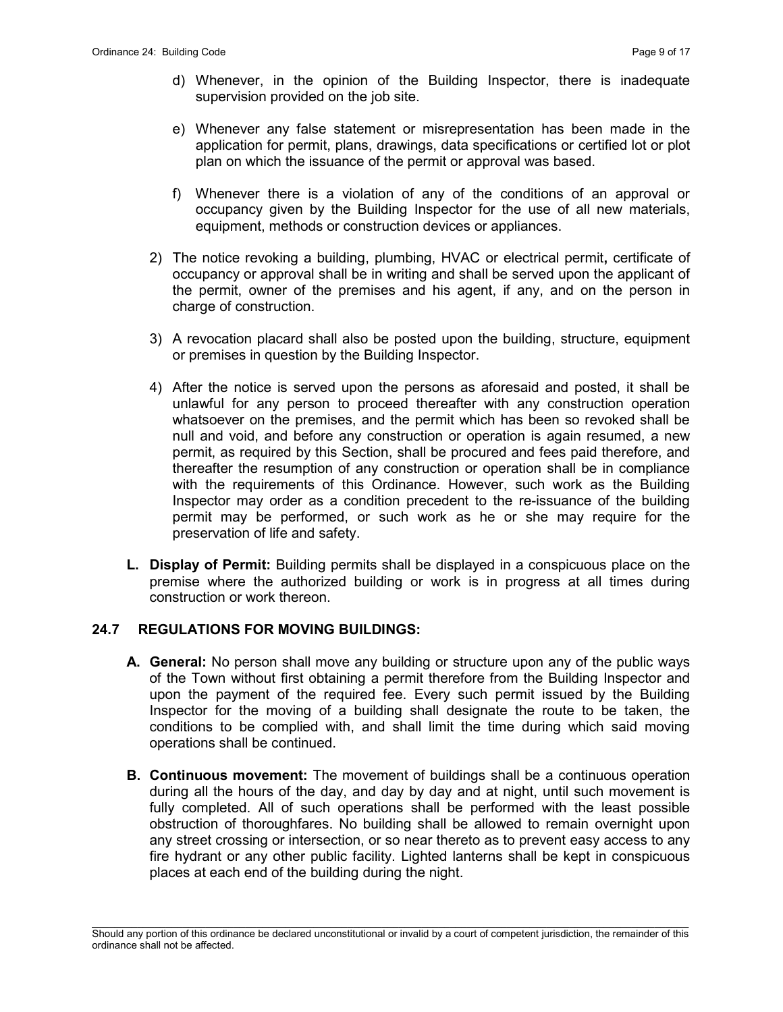- d) Whenever, in the opinion of the Building Inspector, there is inadequate supervision provided on the job site.
- e) Whenever any false statement or misrepresentation has been made in the application for permit, plans, drawings, data specifications or certified lot or plot plan on which the issuance of the permit or approval was based.
- f) Whenever there is a violation of any of the conditions of an approval or occupancy given by the Building Inspector for the use of all new materials, equipment, methods or construction devices or appliances.
- 2) The notice revoking a building, plumbing, HVAC or electrical permit, certificate of occupancy or approval shall be in writing and shall be served upon the applicant of the permit, owner of the premises and his agent, if any, and on the person in charge of construction.
- 3) A revocation placard shall also be posted upon the building, structure, equipment or premises in question by the Building Inspector.
- 4) After the notice is served upon the persons as aforesaid and posted, it shall be unlawful for any person to proceed thereafter with any construction operation whatsoever on the premises, and the permit which has been so revoked shall be null and void, and before any construction or operation is again resumed, a new permit, as required by this Section, shall be procured and fees paid therefore, and thereafter the resumption of any construction or operation shall be in compliance with the requirements of this Ordinance. However, such work as the Building Inspector may order as a condition precedent to the re-issuance of the building permit may be performed, or such work as he or she may require for the preservation of life and safety.
- L. Display of Permit: Building permits shall be displayed in a conspicuous place on the premise where the authorized building or work is in progress at all times during construction or work thereon.

#### 24.7 REGULATIONS FOR MOVING BUILDINGS:

- A. General: No person shall move any building or structure upon any of the public ways of the Town without first obtaining a permit therefore from the Building Inspector and upon the payment of the required fee. Every such permit issued by the Building Inspector for the moving of a building shall designate the route to be taken, the conditions to be complied with, and shall limit the time during which said moving operations shall be continued.
- **B. Continuous movement:** The movement of buildings shall be a continuous operation during all the hours of the day, and day by day and at night, until such movement is fully completed. All of such operations shall be performed with the least possible obstruction of thoroughfares. No building shall be allowed to remain overnight upon any street crossing or intersection, or so near thereto as to prevent easy access to any fire hydrant or any other public facility. Lighted lanterns shall be kept in conspicuous places at each end of the building during the night.

 $\mathcal{L}_\text{max}$ Should any portion of this ordinance be declared unconstitutional or invalid by a court of competent jurisdiction, the remainder of this ordinance shall not be affected.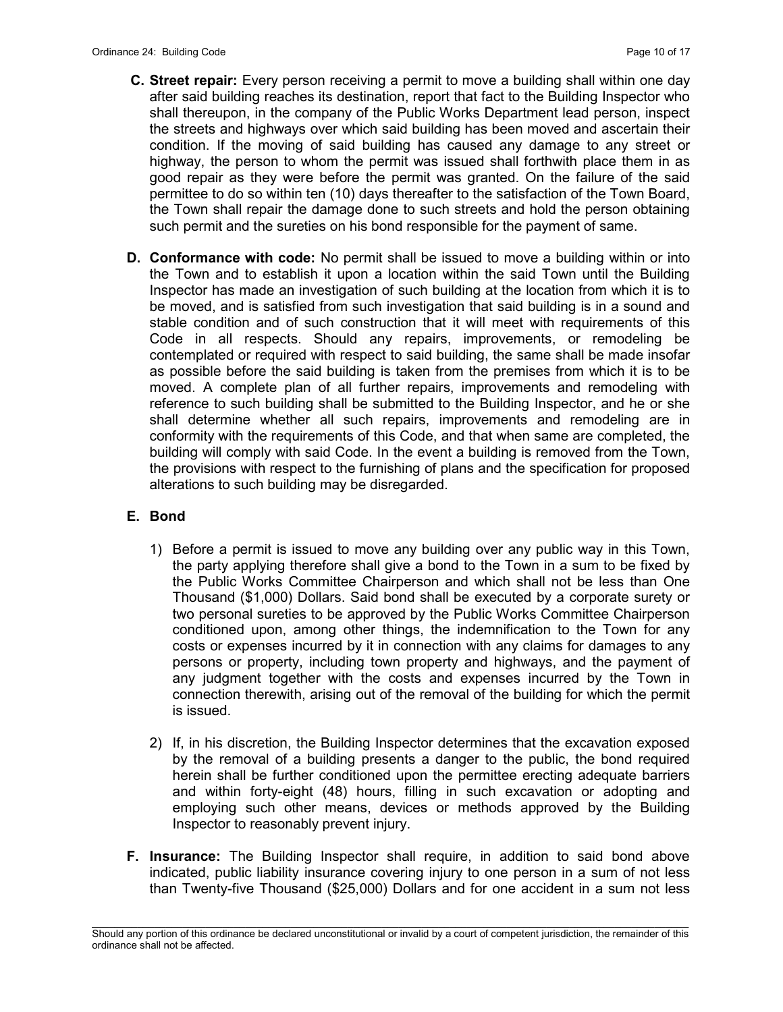- C. Street repair: Every person receiving a permit to move a building shall within one day after said building reaches its destination, report that fact to the Building Inspector who shall thereupon, in the company of the Public Works Department lead person, inspect the streets and highways over which said building has been moved and ascertain their condition. If the moving of said building has caused any damage to any street or highway, the person to whom the permit was issued shall forthwith place them in as good repair as they were before the permit was granted. On the failure of the said permittee to do so within ten (10) days thereafter to the satisfaction of the Town Board, the Town shall repair the damage done to such streets and hold the person obtaining such permit and the sureties on his bond responsible for the payment of same.
- **D. Conformance with code:** No permit shall be issued to move a building within or into the Town and to establish it upon a location within the said Town until the Building Inspector has made an investigation of such building at the location from which it is to be moved, and is satisfied from such investigation that said building is in a sound and stable condition and of such construction that it will meet with requirements of this Code in all respects. Should any repairs, improvements, or remodeling be contemplated or required with respect to said building, the same shall be made insofar as possible before the said building is taken from the premises from which it is to be moved. A complete plan of all further repairs, improvements and remodeling with reference to such building shall be submitted to the Building Inspector, and he or she shall determine whether all such repairs, improvements and remodeling are in conformity with the requirements of this Code, and that when same are completed, the building will comply with said Code. In the event a building is removed from the Town, the provisions with respect to the furnishing of plans and the specification for proposed alterations to such building may be disregarded.

#### E. Bond

- 1) Before a permit is issued to move any building over any public way in this Town, the party applying therefore shall give a bond to the Town in a sum to be fixed by the Public Works Committee Chairperson and which shall not be less than One Thousand (\$1,000) Dollars. Said bond shall be executed by a corporate surety or two personal sureties to be approved by the Public Works Committee Chairperson conditioned upon, among other things, the indemnification to the Town for any costs or expenses incurred by it in connection with any claims for damages to any persons or property, including town property and highways, and the payment of any judgment together with the costs and expenses incurred by the Town in connection therewith, arising out of the removal of the building for which the permit is issued.
- 2) If, in his discretion, the Building Inspector determines that the excavation exposed by the removal of a building presents a danger to the public, the bond required herein shall be further conditioned upon the permittee erecting adequate barriers and within forty-eight (48) hours, filling in such excavation or adopting and employing such other means, devices or methods approved by the Building Inspector to reasonably prevent injury.
- F. Insurance: The Building Inspector shall require, in addition to said bond above indicated, public liability insurance covering injury to one person in a sum of not less than Twenty-five Thousand (\$25,000) Dollars and for one accident in a sum not less

 $\mathcal{L}_\text{max}$ Should any portion of this ordinance be declared unconstitutional or invalid by a court of competent jurisdiction, the remainder of this ordinance shall not be affected.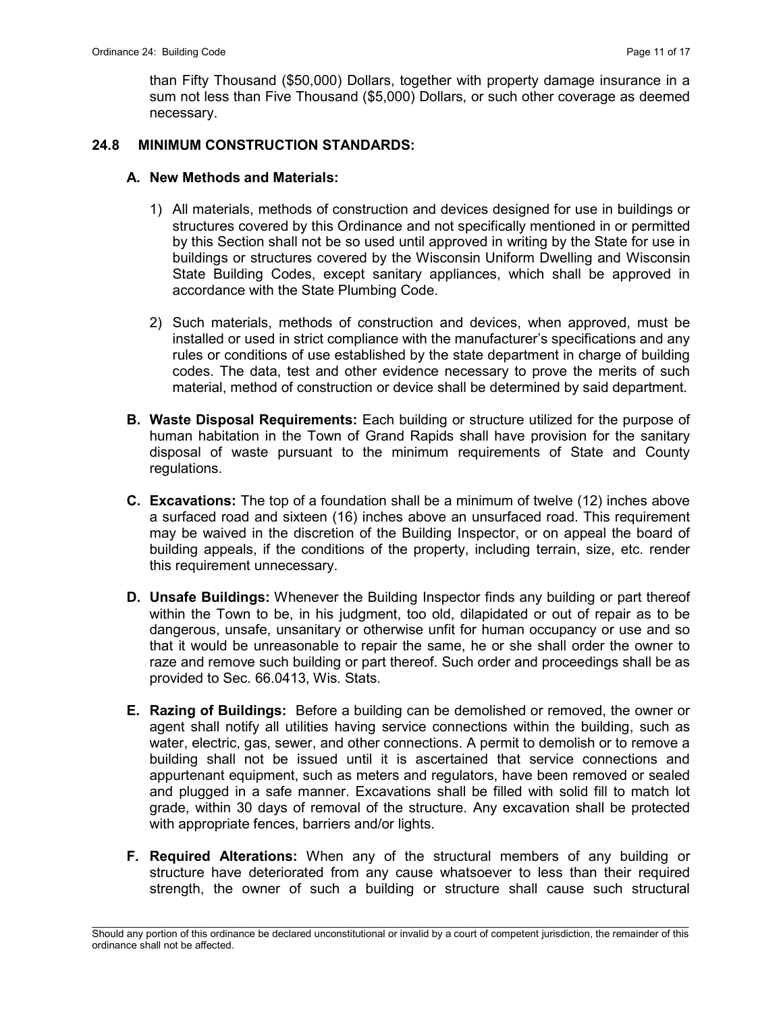than Fifty Thousand (\$50,000) Dollars, together with property damage insurance in a sum not less than Five Thousand (\$5,000) Dollars, or such other coverage as deemed necessary.

## 24.8 MINIMUM CONSTRUCTION STANDARDS:

## A. New Methods and Materials:

- 1) All materials, methods of construction and devices designed for use in buildings or structures covered by this Ordinance and not specifically mentioned in or permitted by this Section shall not be so used until approved in writing by the State for use in buildings or structures covered by the Wisconsin Uniform Dwelling and Wisconsin State Building Codes, except sanitary appliances, which shall be approved in accordance with the State Plumbing Code.
- 2) Such materials, methods of construction and devices, when approved, must be installed or used in strict compliance with the manufacturer's specifications and any rules or conditions of use established by the state department in charge of building codes. The data, test and other evidence necessary to prove the merits of such material, method of construction or device shall be determined by said department.
- B. Waste Disposal Requirements: Each building or structure utilized for the purpose of human habitation in the Town of Grand Rapids shall have provision for the sanitary disposal of waste pursuant to the minimum requirements of State and County regulations.
- C. Excavations: The top of a foundation shall be a minimum of twelve (12) inches above a surfaced road and sixteen (16) inches above an unsurfaced road. This requirement may be waived in the discretion of the Building Inspector, or on appeal the board of building appeals, if the conditions of the property, including terrain, size, etc. render this requirement unnecessary.
- D. Unsafe Buildings: Whenever the Building Inspector finds any building or part thereof within the Town to be, in his judgment, too old, dilapidated or out of repair as to be dangerous, unsafe, unsanitary or otherwise unfit for human occupancy or use and so that it would be unreasonable to repair the same, he or she shall order the owner to raze and remove such building or part thereof. Such order and proceedings shall be as provided to Sec. 66.0413, Wis. Stats.
- E. Razing of Buildings: Before a building can be demolished or removed, the owner or agent shall notify all utilities having service connections within the building, such as water, electric, gas, sewer, and other connections. A permit to demolish or to remove a building shall not be issued until it is ascertained that service connections and appurtenant equipment, such as meters and regulators, have been removed or sealed and plugged in a safe manner. Excavations shall be filled with solid fill to match lot grade, within 30 days of removal of the structure. Any excavation shall be protected with appropriate fences, barriers and/or lights.
- F. Required Alterations: When any of the structural members of any building or structure have deteriorated from any cause whatsoever to less than their required strength, the owner of such a building or structure shall cause such structural

 $\mathcal{L}_\text{max}$ Should any portion of this ordinance be declared unconstitutional or invalid by a court of competent jurisdiction, the remainder of this ordinance shall not be affected.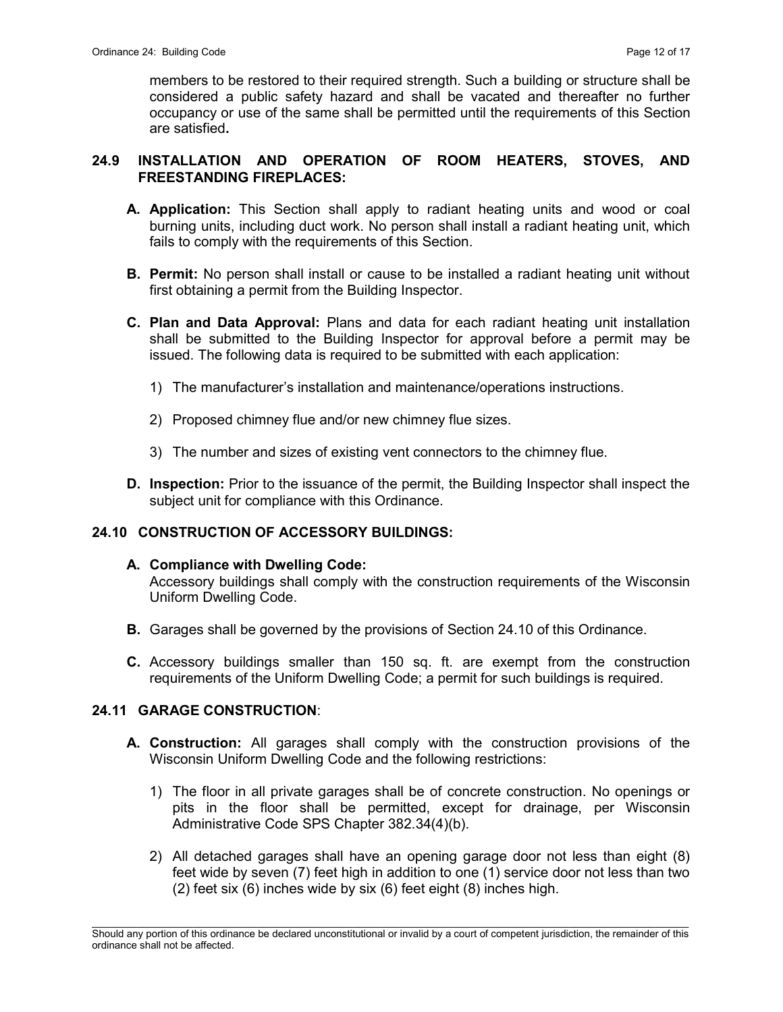members to be restored to their required strength. Such a building or structure shall be considered a public safety hazard and shall be vacated and thereafter no further occupancy or use of the same shall be permitted until the requirements of this Section are satisfied.

## 24.9 INSTALLATION AND OPERATION OF ROOM HEATERS, STOVES, AND FREESTANDING FIREPLACES:

- A. Application: This Section shall apply to radiant heating units and wood or coal burning units, including duct work. No person shall install a radiant heating unit, which fails to comply with the requirements of this Section.
- **B. Permit:** No person shall install or cause to be installed a radiant heating unit without first obtaining a permit from the Building Inspector.
- C. Plan and Data Approval: Plans and data for each radiant heating unit installation shall be submitted to the Building Inspector for approval before a permit may be issued. The following data is required to be submitted with each application:
	- 1) The manufacturer's installation and maintenance/operations instructions.
	- 2) Proposed chimney flue and/or new chimney flue sizes.
	- 3) The number and sizes of existing vent connectors to the chimney flue.
- **D. Inspection:** Prior to the issuance of the permit, the Building Inspector shall inspect the subject unit for compliance with this Ordinance.

# 24.10 CONSTRUCTION OF ACCESSORY BUILDINGS:

#### A. Compliance with Dwelling Code:

 Accessory buildings shall comply with the construction requirements of the Wisconsin Uniform Dwelling Code.

- B. Garages shall be governed by the provisions of Section 24.10 of this Ordinance.
- C. Accessory buildings smaller than 150 sq. ft. are exempt from the construction requirements of the Uniform Dwelling Code; a permit for such buildings is required.

# 24.11 GARAGE CONSTRUCTION:

- A. Construction: All garages shall comply with the construction provisions of the Wisconsin Uniform Dwelling Code and the following restrictions:
	- 1) The floor in all private garages shall be of concrete construction. No openings or pits in the floor shall be permitted, except for drainage, per Wisconsin Administrative Code SPS Chapter 382.34(4)(b).
	- 2) All detached garages shall have an opening garage door not less than eight (8) feet wide by seven (7) feet high in addition to one (1) service door not less than two (2) feet six (6) inches wide by six (6) feet eight (8) inches high.

 $\mathcal{L}_\text{max}$ Should any portion of this ordinance be declared unconstitutional or invalid by a court of competent jurisdiction, the remainder of this ordinance shall not be affected.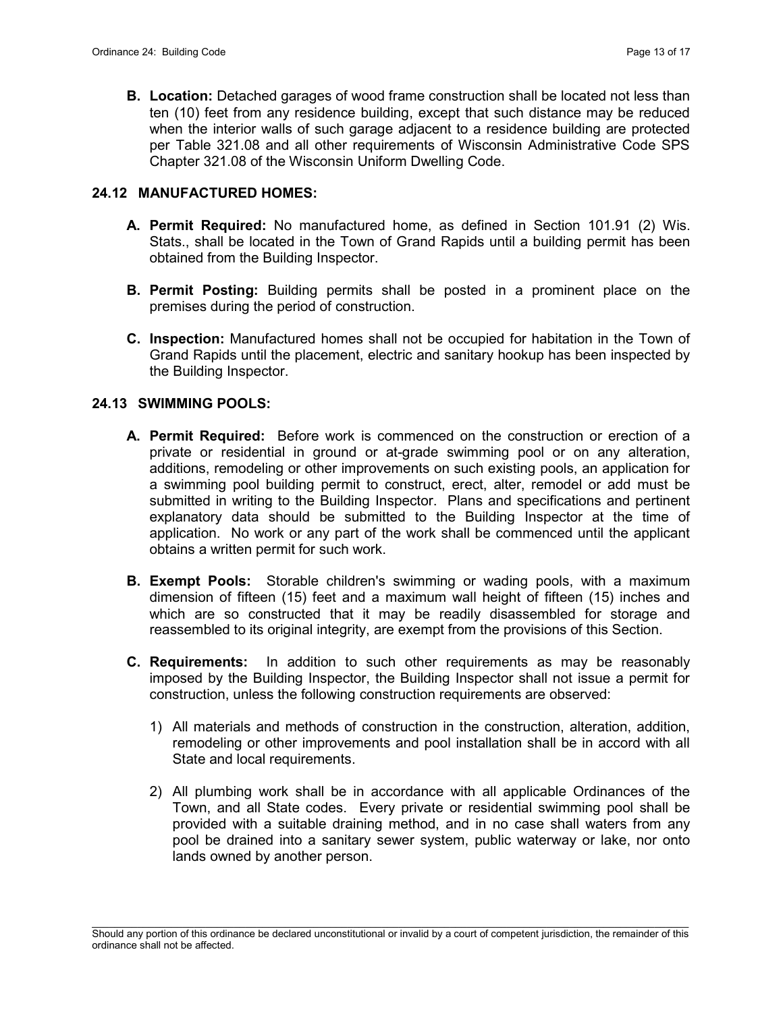**B. Location:** Detached garages of wood frame construction shall be located not less than ten (10) feet from any residence building, except that such distance may be reduced when the interior walls of such garage adjacent to a residence building are protected per Table 321.08 and all other requirements of Wisconsin Administrative Code SPS Chapter 321.08 of the Wisconsin Uniform Dwelling Code.

## 24.12 MANUFACTURED HOMES:

- A. Permit Required: No manufactured home, as defined in Section 101.91 (2) Wis. Stats., shall be located in the Town of Grand Rapids until a building permit has been obtained from the Building Inspector.
- B. Permit Posting: Building permits shall be posted in a prominent place on the premises during the period of construction.
- C. Inspection: Manufactured homes shall not be occupied for habitation in the Town of Grand Rapids until the placement, electric and sanitary hookup has been inspected by the Building Inspector.

#### 24.13 SWIMMING POOLS:

- A. Permit Required: Before work is commenced on the construction or erection of a private or residential in ground or at-grade swimming pool or on any alteration, additions, remodeling or other improvements on such existing pools, an application for a swimming pool building permit to construct, erect, alter, remodel or add must be submitted in writing to the Building Inspector. Plans and specifications and pertinent explanatory data should be submitted to the Building Inspector at the time of application. No work or any part of the work shall be commenced until the applicant obtains a written permit for such work.
- **B. Exempt Pools:** Storable children's swimming or wading pools, with a maximum dimension of fifteen (15) feet and a maximum wall height of fifteen (15) inches and which are so constructed that it may be readily disassembled for storage and reassembled to its original integrity, are exempt from the provisions of this Section.
- C. Requirements: In addition to such other requirements as may be reasonably imposed by the Building Inspector, the Building Inspector shall not issue a permit for construction, unless the following construction requirements are observed:
	- 1) All materials and methods of construction in the construction, alteration, addition, remodeling or other improvements and pool installation shall be in accord with all State and local requirements.
	- 2) All plumbing work shall be in accordance with all applicable Ordinances of the Town, and all State codes. Every private or residential swimming pool shall be provided with a suitable draining method, and in no case shall waters from any pool be drained into a sanitary sewer system, public waterway or lake, nor onto lands owned by another person.

 $\mathcal{L}_\text{max}$ Should any portion of this ordinance be declared unconstitutional or invalid by a court of competent jurisdiction, the remainder of this ordinance shall not be affected.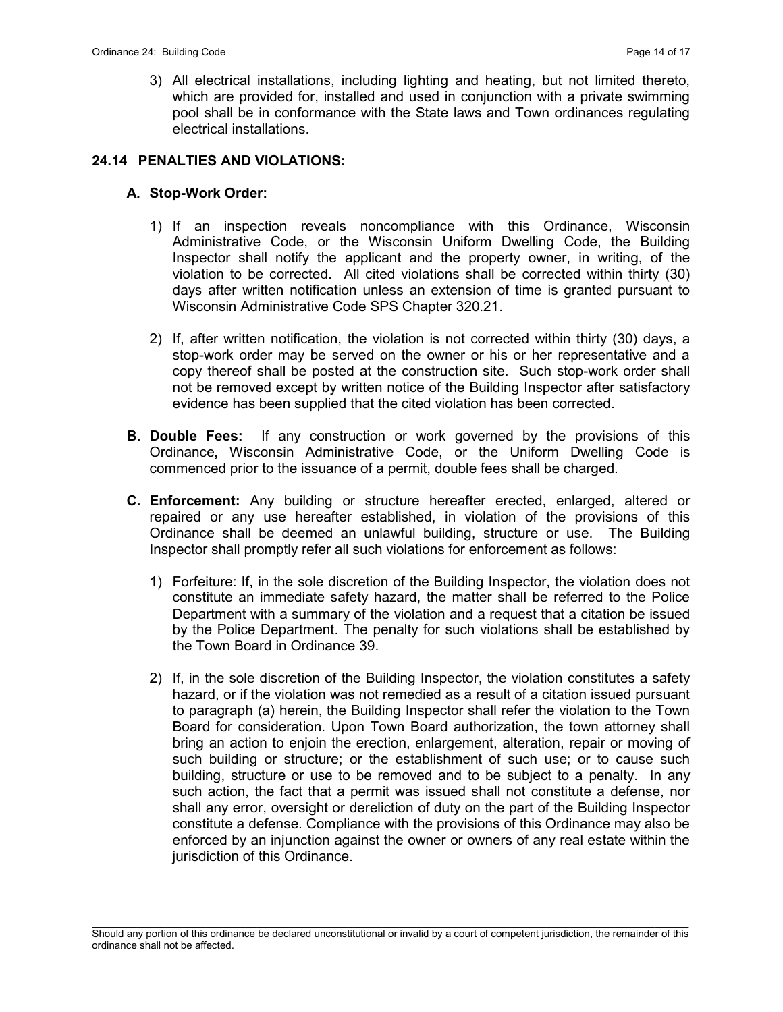3) All electrical installations, including lighting and heating, but not limited thereto, which are provided for, installed and used in conjunction with a private swimming pool shall be in conformance with the State laws and Town ordinances regulating electrical installations.

## 24.14 PENALTIES AND VIOLATIONS:

## A. Stop-Work Order:

- 1) If an inspection reveals noncompliance with this Ordinance, Wisconsin Administrative Code, or the Wisconsin Uniform Dwelling Code, the Building Inspector shall notify the applicant and the property owner, in writing, of the violation to be corrected. All cited violations shall be corrected within thirty (30) days after written notification unless an extension of time is granted pursuant to Wisconsin Administrative Code SPS Chapter 320.21.
- 2) If, after written notification, the violation is not corrected within thirty (30) days, a stop-work order may be served on the owner or his or her representative and a copy thereof shall be posted at the construction site. Such stop-work order shall not be removed except by written notice of the Building Inspector after satisfactory evidence has been supplied that the cited violation has been corrected.
- **B. Double Fees:** If any construction or work governed by the provisions of this Ordinance, Wisconsin Administrative Code, or the Uniform Dwelling Code is commenced prior to the issuance of a permit, double fees shall be charged.
- C. Enforcement: Any building or structure hereafter erected, enlarged, altered or repaired or any use hereafter established, in violation of the provisions of this Ordinance shall be deemed an unlawful building, structure or use. The Building Inspector shall promptly refer all such violations for enforcement as follows:
	- 1) Forfeiture: If, in the sole discretion of the Building Inspector, the violation does not constitute an immediate safety hazard, the matter shall be referred to the Police Department with a summary of the violation and a request that a citation be issued by the Police Department. The penalty for such violations shall be established by the Town Board in Ordinance 39.
	- 2) If, in the sole discretion of the Building Inspector, the violation constitutes a safety hazard, or if the violation was not remedied as a result of a citation issued pursuant to paragraph (a) herein, the Building Inspector shall refer the violation to the Town Board for consideration. Upon Town Board authorization, the town attorney shall bring an action to enjoin the erection, enlargement, alteration, repair or moving of such building or structure; or the establishment of such use; or to cause such building, structure or use to be removed and to be subject to a penalty. In any such action, the fact that a permit was issued shall not constitute a defense, nor shall any error, oversight or dereliction of duty on the part of the Building Inspector constitute a defense. Compliance with the provisions of this Ordinance may also be enforced by an injunction against the owner or owners of any real estate within the jurisdiction of this Ordinance.

 $\mathcal{L}_\text{max}$ Should any portion of this ordinance be declared unconstitutional or invalid by a court of competent jurisdiction, the remainder of this ordinance shall not be affected.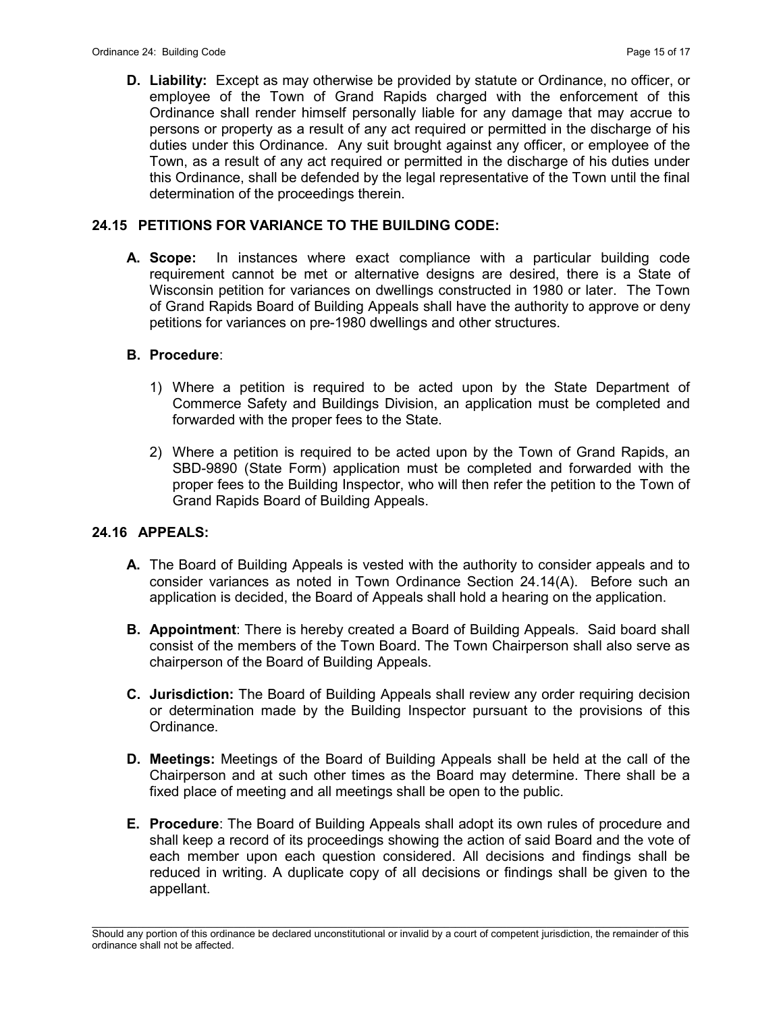D. Liability: Except as may otherwise be provided by statute or Ordinance, no officer, or employee of the Town of Grand Rapids charged with the enforcement of this Ordinance shall render himself personally liable for any damage that may accrue to persons or property as a result of any act required or permitted in the discharge of his duties under this Ordinance. Any suit brought against any officer, or employee of the Town, as a result of any act required or permitted in the discharge of his duties under this Ordinance, shall be defended by the legal representative of the Town until the final determination of the proceedings therein.

## 24.15 PETITIONS FOR VARIANCE TO THE BUILDING CODE:

A. Scope: In instances where exact compliance with a particular building code requirement cannot be met or alternative designs are desired, there is a State of Wisconsin petition for variances on dwellings constructed in 1980 or later. The Town of Grand Rapids Board of Building Appeals shall have the authority to approve or deny petitions for variances on pre-1980 dwellings and other structures.

## B. Procedure:

- 1) Where a petition is required to be acted upon by the State Department of Commerce Safety and Buildings Division, an application must be completed and forwarded with the proper fees to the State.
- 2) Where a petition is required to be acted upon by the Town of Grand Rapids, an SBD-9890 (State Form) application must be completed and forwarded with the proper fees to the Building Inspector, who will then refer the petition to the Town of Grand Rapids Board of Building Appeals.

#### 24.16 APPEALS:

- A. The Board of Building Appeals is vested with the authority to consider appeals and to consider variances as noted in Town Ordinance Section 24.14(A). Before such an application is decided, the Board of Appeals shall hold a hearing on the application.
- **B. Appointment:** There is hereby created a Board of Building Appeals. Said board shall consist of the members of the Town Board. The Town Chairperson shall also serve as chairperson of the Board of Building Appeals.
- C. Jurisdiction: The Board of Building Appeals shall review any order requiring decision or determination made by the Building Inspector pursuant to the provisions of this Ordinance.
- D. Meetings: Meetings of the Board of Building Appeals shall be held at the call of the Chairperson and at such other times as the Board may determine. There shall be a fixed place of meeting and all meetings shall be open to the public.
- E. Procedure: The Board of Building Appeals shall adopt its own rules of procedure and shall keep a record of its proceedings showing the action of said Board and the vote of each member upon each question considered. All decisions and findings shall be reduced in writing. A duplicate copy of all decisions or findings shall be given to the appellant.

 $\mathcal{L}_\text{max}$ Should any portion of this ordinance be declared unconstitutional or invalid by a court of competent jurisdiction, the remainder of this ordinance shall not be affected.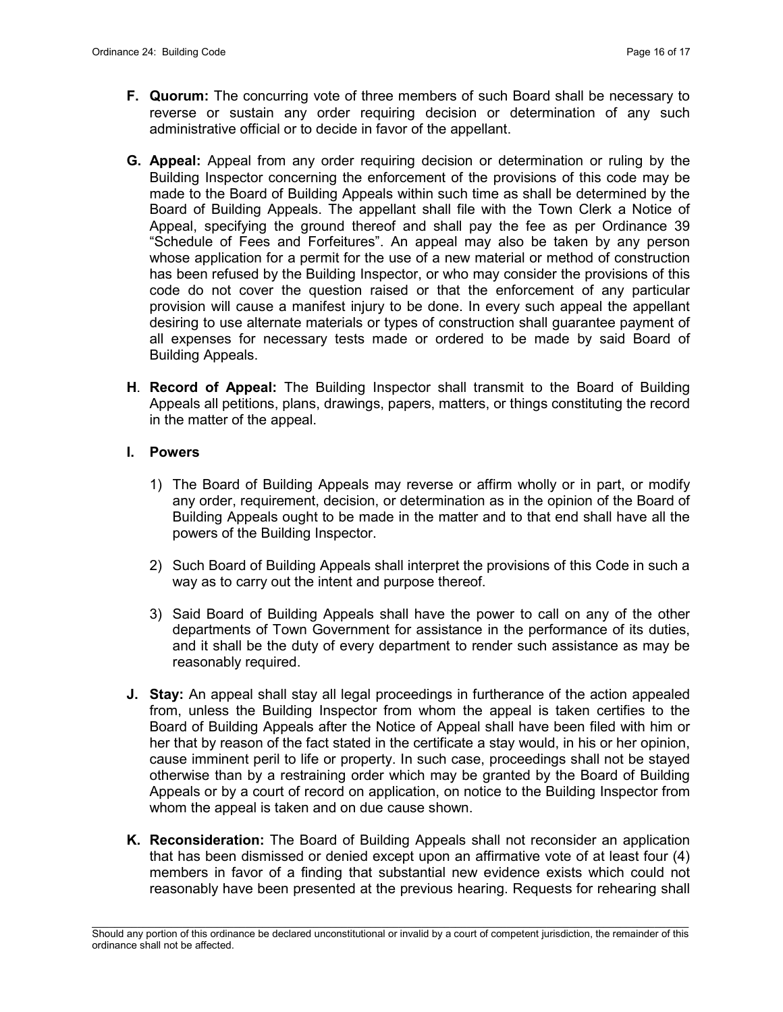- F. Quorum: The concurring vote of three members of such Board shall be necessary to reverse or sustain any order requiring decision or determination of any such administrative official or to decide in favor of the appellant.
- G. Appeal: Appeal from any order requiring decision or determination or ruling by the Building Inspector concerning the enforcement of the provisions of this code may be made to the Board of Building Appeals within such time as shall be determined by the Board of Building Appeals. The appellant shall file with the Town Clerk a Notice of Appeal, specifying the ground thereof and shall pay the fee as per Ordinance 39 "Schedule of Fees and Forfeitures". An appeal may also be taken by any person whose application for a permit for the use of a new material or method of construction has been refused by the Building Inspector, or who may consider the provisions of this code do not cover the question raised or that the enforcement of any particular provision will cause a manifest injury to be done. In every such appeal the appellant desiring to use alternate materials or types of construction shall guarantee payment of all expenses for necessary tests made or ordered to be made by said Board of Building Appeals.
- H. Record of Appeal: The Building Inspector shall transmit to the Board of Building Appeals all petitions, plans, drawings, papers, matters, or things constituting the record in the matter of the appeal.

#### I. Powers

- 1) The Board of Building Appeals may reverse or affirm wholly or in part, or modify any order, requirement, decision, or determination as in the opinion of the Board of Building Appeals ought to be made in the matter and to that end shall have all the powers of the Building Inspector.
- 2) Such Board of Building Appeals shall interpret the provisions of this Code in such a way as to carry out the intent and purpose thereof.
- 3) Said Board of Building Appeals shall have the power to call on any of the other departments of Town Government for assistance in the performance of its duties, and it shall be the duty of every department to render such assistance as may be reasonably required.
- J. Stay: An appeal shall stay all legal proceedings in furtherance of the action appealed from, unless the Building Inspector from whom the appeal is taken certifies to the Board of Building Appeals after the Notice of Appeal shall have been filed with him or her that by reason of the fact stated in the certificate a stay would, in his or her opinion, cause imminent peril to life or property. In such case, proceedings shall not be stayed otherwise than by a restraining order which may be granted by the Board of Building Appeals or by a court of record on application, on notice to the Building Inspector from whom the appeal is taken and on due cause shown.
- K. Reconsideration: The Board of Building Appeals shall not reconsider an application that has been dismissed or denied except upon an affirmative vote of at least four (4) members in favor of a finding that substantial new evidence exists which could not reasonably have been presented at the previous hearing. Requests for rehearing shall

 $\mathcal{L}_\text{max}$ Should any portion of this ordinance be declared unconstitutional or invalid by a court of competent jurisdiction, the remainder of this ordinance shall not be affected.